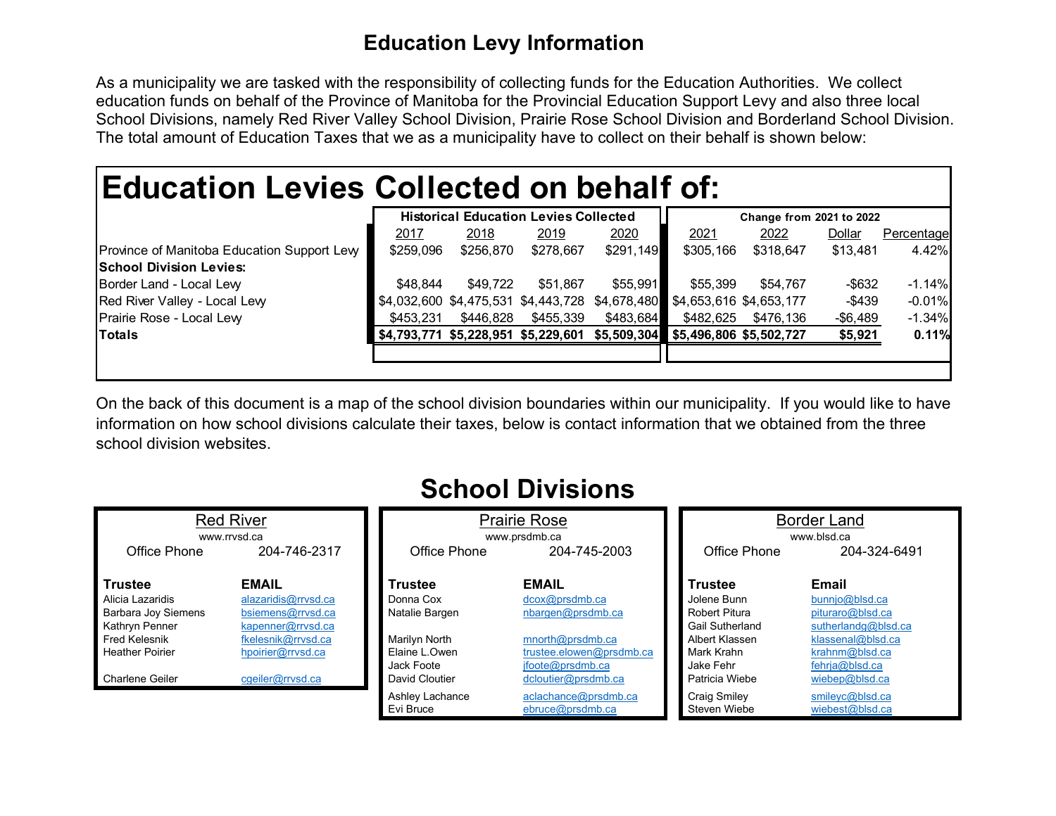## **Education Levy Information**

As a municipality we are tasked with the responsibility of collecting funds for the Education Authorities. We collect education funds on behalf of the Province of Manitoba for the Provincial Education Support Levy and also three local School Divisions, namely Red River Valley School Division, Prairie Rose School Division and Borderland School Division. The total amount of Education Taxes that we as a municipality have to collect on their behalf is shown below:

## **Education Levies Collected on behalf of:**

|                                             |           | <b>Historical Education Levies Collected</b><br><b>Change from 2021 to 2022</b> |           |                                                                         |           |           |             |            |
|---------------------------------------------|-----------|---------------------------------------------------------------------------------|-----------|-------------------------------------------------------------------------|-----------|-----------|-------------|------------|
|                                             | 2017      | 2018                                                                            | 2019      | 2020                                                                    | 2021      | 2022      | Dollar      | Percentage |
| Province of Manitoba Education Support Levy | \$259,096 | \$256,870                                                                       | \$278,667 | \$291,149                                                               | \$305,166 | \$318,647 | \$13,481    | 4.42%      |
| <b>School Division Levies:</b>              |           |                                                                                 |           |                                                                         |           |           |             |            |
| Border Land - Local Lew                     | \$48.844  | \$49.722                                                                        | \$51.867  | \$55,991                                                                | \$55,399  | \$54.767  | -\$632      | $-1.14\%$  |
| Red River Valley - Local Levy               |           |                                                                                 |           | \$4,032,600 \$4,475,531 \$4,443,728 \$4,678,480 \$4,653,616 \$4,653,177 |           |           | $-$439$     | $-0.01\%$  |
| Prairie Rose - Local Lew                    | \$453.231 | \$446.828                                                                       | \$455,339 | \$483,684                                                               | \$482.625 | \$476.136 | $-$ \$6,489 | $-1.34%$   |
| <b>Totals</b>                               |           |                                                                                 |           | \$4,793,771 \$5,228,951 \$5,229,601 \$5,509,304 \$5,496,806 \$5,502,727 |           |           | \$5,921     | 0.11%      |
|                                             |           |                                                                                 |           |                                                                         |           |           |             |            |
|                                             |           |                                                                                 |           |                                                                         |           |           |             |            |

On the back of this document is a map of the school division boundaries within our municipality. If you would like to have information on how school divisions calculate their taxes, below is contact information that we obtained from the three school division websites.

| <b>Red River</b><br>www.rrysd.ca |                     |                 | <b>Prairie Rose</b><br>www.prsdmb.ca | <b>Border Land</b><br>www.blsd.ca |                       |  |
|----------------------------------|---------------------|-----------------|--------------------------------------|-----------------------------------|-----------------------|--|
| Office Phone                     | 204-746-2317        | Office Phone    | 204-745-2003                         | Office Phone                      | 204-324-6491          |  |
| <b>Trustee</b>                   | <b>EMAIL</b>        | Trustee         | <b>EMAIL</b>                         | <b>Trustee</b>                    | Email                 |  |
| Alicia Lazaridis                 | alazaridis@rrvsd.ca | Donna Cox       | dcox@prsdmb.ca                       | Jolene Bunn                       | bunnio@blsd.ca        |  |
| <b>Barbara Joy Siemens</b>       | bsiemens@rrvsd.ca   | Natalie Bargen  | nbargen@prsdmb.ca                    | <b>Robert Pitura</b>              | pituraro@blsd.ca      |  |
| Kathryn Penner                   | kapenner@rrvsd.ca   |                 |                                      | <b>Gail Sutherland</b>            | sutherlandg@blsd.ca   |  |
| <b>Fred Kelesnik</b>             | fkelesnik@rrvsd.ca  | Marilyn North   | mnorth@prsdmb.ca                     | Albert Klassen                    | klassenal@blsd.ca     |  |
| <b>Heather Poirier</b>           | hpoirier@rrvsd.ca   | Elaine L.Owen   | trustee.elowen@prsdmb.ca             | Mark Krahn                        | $k$ rahnm $@$ blsd.ca |  |
|                                  |                     | Jack Foote      | ifoote@prsdmb.ca                     | Jake Fehr                         | fehria@blsd.ca        |  |
| <b>Charlene Geiler</b>           | cgeiler@rrvsd.ca    | David Cloutier  | dcloutier@prsdmb.ca                  | Patricia Wiebe                    | wiebep@blsd.ca        |  |
|                                  |                     | Ashley Lachance | aclachance@prsdmb.ca                 | <b>Craig Smiley</b>               | smileyc@blsd.ca       |  |
|                                  |                     | Evi Bruce       | ebruce@prsdmb.ca                     | Steven Wiebe                      | wiebest@blsd.ca       |  |

## **School Divisions**